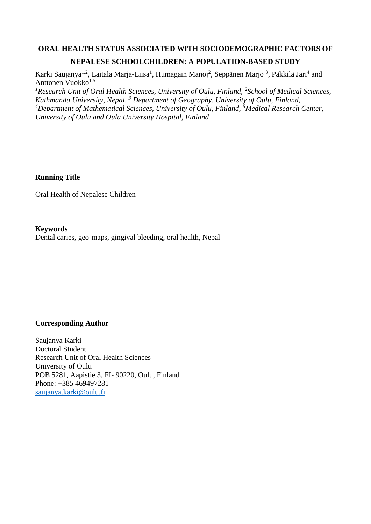# **ORAL HEALTH STATUS ASSOCIATED WITH SOCIODEMOGRAPHIC FACTORS OF NEPALESE SCHOOLCHILDREN: A POPULATION-BASED STUDY**

Karki Saujanya<sup>1,2</sup>, Laitala Marja-Liisa<sup>1</sup>, Humagain Manoj<sup>2</sup>, Seppänen Marjo<sup>3</sup>, Päkkilä Jari<sup>4</sup> and Anttonen Vuokko<sup>1,5</sup>

<sup>1</sup> Research Unit of Oral Health Sciences, University of Oulu, Finland, <sup>2</sup> School of Medical Sciences, *Kathmandu University, Nepal, <sup>3</sup> Department of Geography, University of Oulu, Finland, <sup>4</sup>Department of Mathematical Sciences, University of Oulu, Finland, <sup>5</sup>Medical Research Center, University of Oulu and Oulu University Hospital, Finland*

# **Running Title**

Oral Health of Nepalese Children

# **Keywords**

Dental caries, geo-maps, gingival bleeding, oral health, Nepal

# **Corresponding Author**

Saujanya Karki Doctoral Student Research Unit of Oral Health Sciences University of Oulu POB 5281, Aapistie 3, FI- 90220, Oulu, Finland Phone: +385 469497281 [saujanya.karki@oulu.fi](mailto:saujanya.karki@oulu.fi)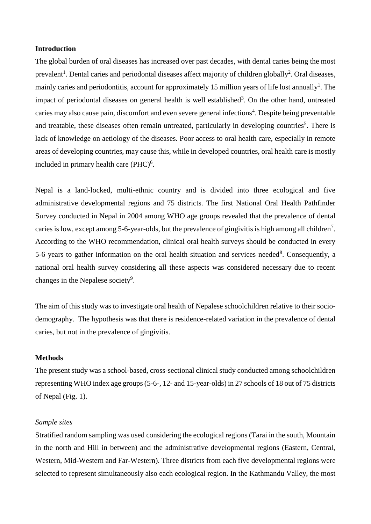# **Introduction**

The global burden of oral diseases has increased over past decades, with dental caries being the most prevalent<sup>1</sup>. Dental caries and periodontal diseases affect majority of children globally<sup>2</sup>. Oral diseases, mainly caries and periodontitis, account for approximately 15 million years of life lost annually<sup>1</sup>. The impact of periodontal diseases on general health is well established<sup>3</sup>. On the other hand, untreated caries may also cause pain, discomfort and even severe general infections<sup>4</sup>. Despite being preventable and treatable, these diseases often remain untreated, particularly in developing countries<sup>5</sup>. There is lack of knowledge on aetiology of the diseases. Poor access to oral health care, especially in remote areas of developing countries, may cause this, while in developed countries, oral health care is mostly included in primary health care  $(PHC)^6$ .

Nepal is a land-locked, multi-ethnic country and is divided into three ecological and five administrative developmental regions and 75 districts. The first National Oral Health Pathfinder Survey conducted in Nepal in 2004 among WHO age groups revealed that the prevalence of dental caries is low, except among 5-6-year-olds, but the prevalence of gingivitis is high among all children<sup>7</sup>. According to the WHO recommendation, clinical oral health surveys should be conducted in every 5-6 years to gather information on the oral health situation and services needed<sup>8</sup>. Consequently, a national oral health survey considering all these aspects was considered necessary due to recent changes in the Nepalese society<sup>9</sup>.

The aim of this study was to investigate oral health of Nepalese schoolchildren relative to their sociodemography. The hypothesis was that there is residence-related variation in the prevalence of dental caries, but not in the prevalence of gingivitis.

### **Methods**

The present study was a school-based, cross-sectional clinical study conducted among schoolchildren representing WHO index age groups (5-6-, 12- and 15-year-olds) in 27 schools of 18 out of 75 districts of Nepal (Fig. 1).

#### *Sample sites*

Stratified random sampling was used considering the ecological regions (Tarai in the south, Mountain in the north and Hill in between) and the administrative developmental regions (Eastern, Central, Western, Mid-Western and Far-Western). Three districts from each five developmental regions were selected to represent simultaneously also each ecological region. In the Kathmandu Valley, the most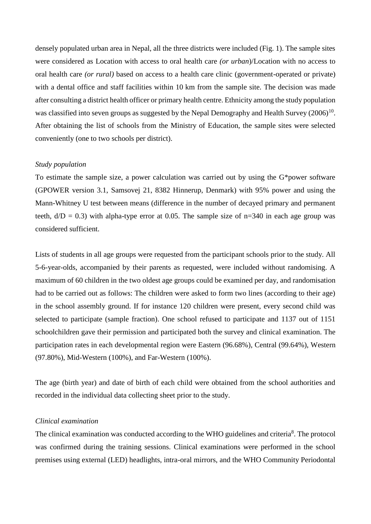densely populated urban area in Nepal, all the three districts were included (Fig. 1). The sample sites were considered as Location with access to oral health care *(or urban*)/Location with no access to oral health care *(or rural)* based on access to a health care clinic (government-operated or private) with a dental office and staff facilities within 10 km from the sample site. The decision was made after consulting a district health officer or primary health centre. Ethnicity among the study population was classified into seven groups as suggested by the Nepal Demography and Health Survey  $(2006)^{10}$ . After obtaining the list of schools from the Ministry of Education, the sample sites were selected conveniently (one to two schools per district).

# *Study population*

To estimate the sample size, a power calculation was carried out by using the G\*power software (GPOWER version 3.1, Samsovej 21, 8382 Hinnerup, Denmark) with 95% power and using the Mann-Whitney U test between means (difference in the number of decayed primary and permanent teeth,  $d/D = 0.3$ ) with alpha-type error at 0.05. The sample size of n=340 in each age group was considered sufficient.

Lists of students in all age groups were requested from the participant schools prior to the study. All 5-6-year-olds, accompanied by their parents as requested, were included without randomising. A maximum of 60 children in the two oldest age groups could be examined per day, and randomisation had to be carried out as follows: The children were asked to form two lines (according to their age) in the school assembly ground. If for instance 120 children were present, every second child was selected to participate (sample fraction). One school refused to participate and 1137 out of 1151 schoolchildren gave their permission and participated both the survey and clinical examination. The participation rates in each developmental region were Eastern (96.68%), Central (99.64%), Western (97.80%), Mid-Western (100%), and Far-Western (100%).

The age (birth year) and date of birth of each child were obtained from the school authorities and recorded in the individual data collecting sheet prior to the study.

#### *Clinical examination*

The clinical examination was conducted according to the WHO guidelines and criteria<sup>8</sup>. The protocol was confirmed during the training sessions. Clinical examinations were performed in the school premises using external (LED) headlights, intra-oral mirrors, and the WHO Community Periodontal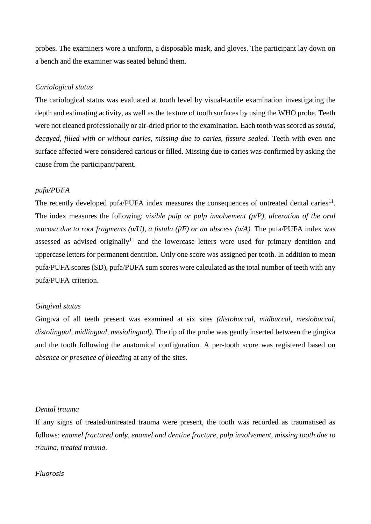probes. The examiners wore a uniform, a disposable mask, and gloves. The participant lay down on a bench and the examiner was seated behind them.

### *Cariological status*

The cariological status was evaluated at tooth level by visual-tactile examination investigating the depth and estimating activity, as well as the texture of tooth surfaces by using the WHO probe. Teeth were not cleaned professionally or air-dried prior to the examination. Each tooth was scored as *sound, decayed, filled with or without caries, missing due to caries, fissure sealed.* Teeth with even one surface affected were considered carious or filled. Missing due to caries was confirmed by asking the cause from the participant/parent.

### *pufa/PUFA*

The recently developed pufa/PUFA index measures the consequences of untreated dental caries $^{11}$ . The index measures the following: *visible pulp or pulp involvement (p/P), ulceration of the oral mucosa due to root fragments (u/U), a fistula (f/F) or an abscess (a/A).* The pufa/PUFA index was assessed as advised originally<sup>11</sup> and the lowercase letters were used for primary dentition and uppercase letters for permanent dentition. Only one score was assigned per tooth. In addition to mean pufa/PUFA scores (SD), pufa/PUFA sum scores were calculated as the total number of teeth with any pufa/PUFA criterion.

#### *Gingival status*

Gingiva of all teeth present was examined at six sites *(distobuccal, midbuccal, mesiobuccal, distolingual, midlingual, mesiolingual)*. The tip of the probe was gently inserted between the gingiva and the tooth following the anatomical configuration. A per-tooth score was registered based on *absence or presence of bleeding* at any of the sites.

#### *Dental trauma*

If any signs of treated/untreated trauma were present, the tooth was recorded as traumatised as follows: *enamel fractured only, enamel and dentine fracture, pulp involvement, missing tooth due to trauma, treated trauma*.

### *Fluorosis*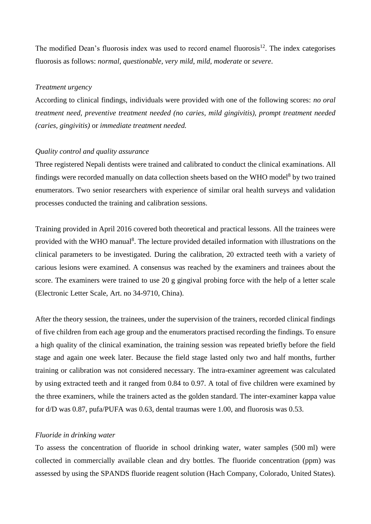The modified Dean's fluorosis index was used to record enamel fluorosis<sup>12</sup>. The index categorises fluorosis as follows: *normal, questionable, very mild, mild, moderate* or *severe*.

#### *Treatment urgency*

According to clinical findings, individuals were provided with one of the following scores: *no oral treatment need, preventive treatment needed (no caries, mild gingivitis), prompt treatment needed (caries, gingivitis)* or *immediate treatment needed.*

#### *Quality control and quality assurance*

Three registered Nepali dentists were trained and calibrated to conduct the clinical examinations. All findings were recorded manually on data collection sheets based on the WHO model<sup>8</sup> by two trained enumerators. Two senior researchers with experience of similar oral health surveys and validation processes conducted the training and calibration sessions.

Training provided in April 2016 covered both theoretical and practical lessons. All the trainees were provided with the WHO manual<sup>8</sup>. The lecture provided detailed information with illustrations on the clinical parameters to be investigated. During the calibration, 20 extracted teeth with a variety of carious lesions were examined. A consensus was reached by the examiners and trainees about the score. The examiners were trained to use 20 g gingival probing force with the help of a letter scale (Electronic Letter Scale, Art. no 34-9710, China).

After the theory session, the trainees, under the supervision of the trainers, recorded clinical findings of five children from each age group and the enumerators practised recording the findings. To ensure a high quality of the clinical examination, the training session was repeated briefly before the field stage and again one week later. Because the field stage lasted only two and half months, further training or calibration was not considered necessary. The intra-examiner agreement was calculated by using extracted teeth and it ranged from 0.84 to 0.97. A total of five children were examined by the three examiners, while the trainers acted as the golden standard. The inter-examiner kappa value for d/D was 0.87, pufa/PUFA was 0.63, dental traumas were 1.00, and fluorosis was 0.53.

#### *Fluoride in drinking water*

To assess the concentration of fluoride in school drinking water, water samples (500 ml) were collected in commercially available clean and dry bottles. The fluoride concentration (ppm) was assessed by using the SPANDS fluoride reagent solution (Hach Company, Colorado, United States).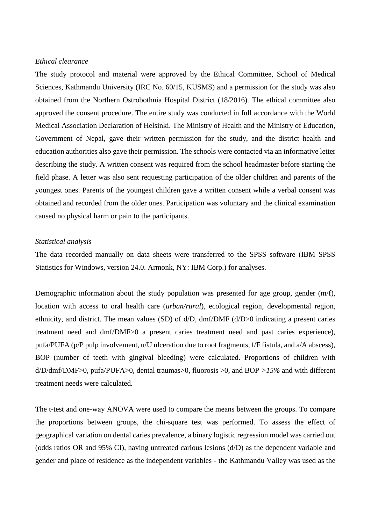### *Ethical clearance*

The study protocol and material were approved by the Ethical Committee, School of Medical Sciences, Kathmandu University (IRC No. 60/15, KUSMS) and a permission for the study was also obtained from the Northern Ostrobothnia Hospital District (18/2016). The ethical committee also approved the consent procedure. The entire study was conducted in full accordance with the World Medical Association Declaration of Helsinki. The Ministry of Health and the Ministry of Education, Government of Nepal, gave their written permission for the study, and the district health and education authorities also gave their permission. The schools were contacted via an informative letter describing the study. A written consent was required from the school headmaster before starting the field phase. A letter was also sent requesting participation of the older children and parents of the youngest ones. Parents of the youngest children gave a written consent while a verbal consent was obtained and recorded from the older ones. Participation was voluntary and the clinical examination caused no physical harm or pain to the participants.

# *Statistical analysis*

The data recorded manually on data sheets were transferred to the SPSS software (IBM SPSS Statistics for Windows, version 24.0. Armonk, NY: IBM Corp.) for analyses.

Demographic information about the study population was presented for age group, gender (m/f), location with access to oral health care (*urban/rural*), ecological region, developmental region, ethnicity, and district. The mean values (SD) of d/D, dmf/DMF (d/D>0 indicating a present caries treatment need and dmf/DMF>0 a present caries treatment need and past caries experience), pufa/PUFA (p/P pulp involvement, u/U ulceration due to root fragments, f/F fistula, and a/A abscess), BOP (number of teeth with gingival bleeding) were calculated. Proportions of children with d/D/dmf/DMF>0, pufa/PUFA>0, dental traumas>0, fluorosis >0, and BOP *>15%* and with different treatment needs were calculated*.*

The t-test and one-way ANOVA were used to compare the means between the groups. To compare the proportions between groups, the chi-square test was performed. To assess the effect of geographical variation on dental caries prevalence, a binary logistic regression model was carried out (odds ratios OR and 95% CI), having untreated carious lesions (d/D) as the dependent variable and gender and place of residence as the independent variables - the Kathmandu Valley was used as the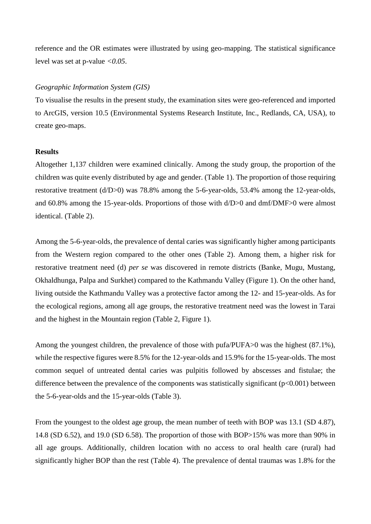reference and the OR estimates were illustrated by using geo-mapping. The statistical significance level was set at p-value *<0.05*.

#### *Geographic Information System (GIS)*

To visualise the results in the present study, the examination sites were geo-referenced and imported to ArcGIS, version 10.5 (Environmental Systems Research Institute, Inc., Redlands, CA, USA), to create geo-maps.

#### **Results**

Altogether 1,137 children were examined clinically. Among the study group, the proportion of the children was quite evenly distributed by age and gender. (Table 1). The proportion of those requiring restorative treatment (d/D>0) was 78.8% among the 5-6-year-olds, 53.4% among the 12-year-olds, and 60.8% among the 15-year-olds. Proportions of those with d/D>0 and dmf/DMF>0 were almost identical. (Table 2).

Among the 5-6-year-olds, the prevalence of dental caries was significantly higher among participants from the Western region compared to the other ones (Table 2). Among them, a higher risk for restorative treatment need (d) *per se* was discovered in remote districts (Banke, Mugu, Mustang, Okhaldhunga, Palpa and Surkhet) compared to the Kathmandu Valley (Figure 1). On the other hand, living outside the Kathmandu Valley was a protective factor among the 12- and 15-year-olds. As for the ecological regions, among all age groups, the restorative treatment need was the lowest in Tarai and the highest in the Mountain region (Table 2, Figure 1).

Among the youngest children, the prevalence of those with pufa/PUFA>0 was the highest (87.1%), while the respective figures were 8.5% for the 12-year-olds and 15.9% for the 15-year-olds. The most common sequel of untreated dental caries was pulpitis followed by abscesses and fistulae; the difference between the prevalence of the components was statistically significant  $(p<0.001)$  between the 5-6-year-olds and the 15-year-olds (Table 3).

From the youngest to the oldest age group, the mean number of teeth with BOP was 13.1 (SD 4.87), 14.8 (SD 6.52), and 19.0 (SD 6.58). The proportion of those with BOP>15% was more than 90% in all age groups. Additionally, children location with no access to oral health care (rural) had significantly higher BOP than the rest (Table 4). The prevalence of dental traumas was 1.8% for the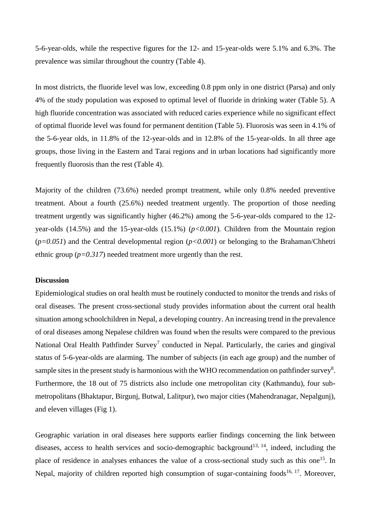5-6-year-olds, while the respective figures for the 12- and 15-year-olds were 5.1% and 6.3%. The prevalence was similar throughout the country (Table 4).

In most districts, the fluoride level was low, exceeding 0.8 ppm only in one district (Parsa) and only 4% of the study population was exposed to optimal level of fluoride in drinking water (Table 5). A high fluoride concentration was associated with reduced caries experience while no significant effect of optimal fluoride level was found for permanent dentition (Table 5). Fluorosis was seen in 4.1% of the 5-6-year olds, in 11.8% of the 12-year-olds and in 12.8% of the 15-year-olds. In all three age groups, those living in the Eastern and Tarai regions and in urban locations had significantly more frequently fluorosis than the rest (Table 4).

Majority of the children (73.6%) needed prompt treatment, while only 0.8% needed preventive treatment. About a fourth (25.6%) needed treatment urgently. The proportion of those needing treatment urgently was significantly higher (46.2%) among the 5-6-year-olds compared to the 12 year-olds (14.5%) and the 15-year-olds (15.1%) (*p<0.001*)*.* Children from the Mountain region  $(p=0.051)$  and the Central developmental region  $(p<0.001)$  or belonging to the Brahaman/Chhetri ethnic group (*p=0.317*) needed treatment more urgently than the rest.

# **Discussion**

Epidemiological studies on oral health must be routinely conducted to monitor the trends and risks of oral diseases. The present cross-sectional study provides information about the current oral health situation among schoolchildren in Nepal, a developing country. An increasing trend in the prevalence of oral diseases among Nepalese children was found when the results were compared to the previous National Oral Health Pathfinder Survey<sup>7</sup> conducted in Nepal. Particularly, the caries and gingival status of 5-6-year-olds are alarming. The number of subjects (in each age group) and the number of sample sites in the present study is harmonious with the WHO recommendation on pathfinder survey<sup>8</sup>. Furthermore, the 18 out of 75 districts also include one metropolitan city (Kathmandu), four submetropolitans (Bhaktapur, Birgunj, Butwal, Lalitpur), two major cities (Mahendranagar, Nepalgunj), and eleven villages (Fig 1).

Geographic variation in oral diseases here supports earlier findings concerning the link between diseases, access to health services and socio-demographic background<sup>13, 14</sup>, indeed, including the place of residence in analyses enhances the value of a cross-sectional study such as this one<sup>15</sup>. In Nepal, majority of children reported high consumption of sugar-containing foods<sup>16, 17</sup>. Moreover,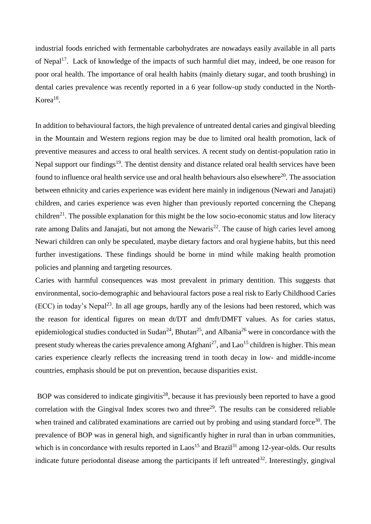industrial foods enriched with fermentable carbohydrates are nowadays easily available in all parts of Nepal<sup>17</sup>. Lack of knowledge of the impacts of such harmful diet may, indeed, be one reason for poor oral health. The importance of oral health habits (mainly dietary sugar, and tooth brushing) in dental caries prevalence was recently reported in a 6 year follow-up study conducted in the North-Korea<sup>18</sup>.

In addition to behavioural factors, the high prevalence of untreated dental caries and gingival bleeding in the Mountain and Western regions region may be due to limited oral health promotion, lack of preventive measures and access to oral health services. A recent study on dentist-population ratio in Nepal support our findings<sup>19</sup>. The dentist density and distance related oral health services have been found to influence oral health service use and oral health behaviours also elsewhere<sup>20</sup>. The association between ethnicity and caries experience was evident here mainly in indigenous (Newari and Janajati) children, and caries experience was even higher than previously reported concerning the Chepang children<sup>21</sup>. The possible explanation for this might be the low socio-economic status and low literacy rate among Dalits and Janajati, but not among the Newaris<sup>22</sup>. The cause of high caries level among Newari children can only be speculated, maybe dietary factors and oral hygiene habits, but this need further investigations. These findings should be borne in mind while making health promotion policies and planning and targeting resources.

Caries with harmful consequences was most prevalent in primary dentition. This suggests that environmental, socio-demographic and behavioural factors pose a real risk to Early Childhood Caries  $(ECC)$  in today's Nepal<sup>23</sup>. In all age groups, hardly any of the lesions had been restored, which was the reason for identical figures on mean dt/DT and dmft/DMFT values. As for caries status, epidemiological studies conducted in Sudan<sup>24</sup>, Bhutan<sup>25</sup>, and Albania<sup>26</sup> were in concordance with the present study whereas the caries prevalence among  $Afghani^{27}$ , and  $Lao^{15}$  children is higher. This mean caries experience clearly reflects the increasing trend in tooth decay in low- and middle-income countries, emphasis should be put on prevention, because disparities exist.

BOP was considered to indicate gingivitis<sup>28</sup>, because it has previously been reported to have a good correlation with the Gingival Index scores two and three<sup>29</sup>. The results can be considered reliable when trained and calibrated examinations are carried out by probing and using standard force<sup>30</sup>. The prevalence of BOP was in general high, and significantly higher in rural than in urban communities, which is in concordance with results reported in Laos<sup>15</sup> and Brazil<sup>31</sup> among 12-year-olds. Our results indicate future periodontal disease among the participants if left untreated<sup>32</sup>. Interestingly, gingival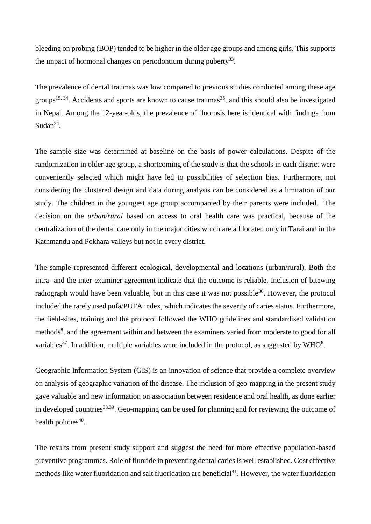bleeding on probing (BOP) tended to be higher in the older age groups and among girls. This supports the impact of hormonal changes on periodontium during puberty<sup>33</sup>.

The prevalence of dental traumas was low compared to previous studies conducted among these age groups<sup>15, 34</sup>. Accidents and sports are known to cause traumas<sup>35</sup>, and this should also be investigated in Nepal. Among the 12-year-olds, the prevalence of fluorosis here is identical with findings from Sudan<sup>24</sup>.

The sample size was determined at baseline on the basis of power calculations. Despite of the randomization in older age group, a shortcoming of the study is that the schools in each district were conveniently selected which might have led to possibilities of selection bias. Furthermore, not considering the clustered design and data during analysis can be considered as a limitation of our study. The children in the youngest age group accompanied by their parents were included. The decision on the *urban/rural* based on access to oral health care was practical, because of the centralization of the dental care only in the major cities which are all located only in Tarai and in the Kathmandu and Pokhara valleys but not in every district.

The sample represented different ecological, developmental and locations (urban/rural). Both the intra- and the inter-examiner agreement indicate that the outcome is reliable. Inclusion of bitewing radiograph would have been valuable, but in this case it was not possible<sup>36</sup>. However, the protocol included the rarely used pufa/PUFA index, which indicates the severity of caries status. Furthermore, the field-sites, training and the protocol followed the WHO guidelines and standardised validation methods<sup>8</sup>, and the agreement within and between the examiners varied from moderate to good for all variables<sup>37</sup>. In addition, multiple variables were included in the protocol, as suggested by WHO<sup>8</sup>.

Geographic Information System (GIS) is an innovation of science that provide a complete overview on analysis of geographic variation of the disease. The inclusion of geo-mapping in the present study gave valuable and new information on association between residence and oral health, as done earlier in developed countries<sup>38,39</sup>. Geo-mapping can be used for planning and for reviewing the outcome of health policies $40$ .

The results from present study support and suggest the need for more effective population-based preventive programmes. Role of fluoride in preventing dental caries is well established. Cost effective methods like water fluoridation and salt fluoridation are beneficial<sup>41</sup>. However, the water fluoridation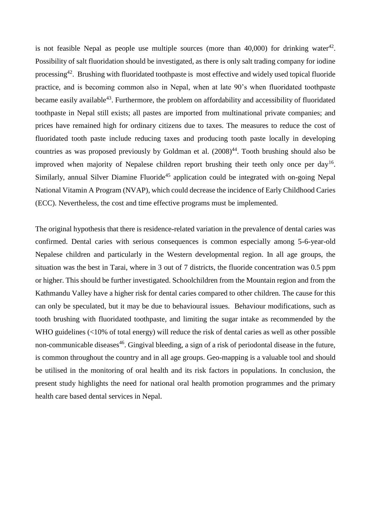is not feasible Nepal as people use multiple sources (more than  $40,000$ ) for drinking water $42$ . Possibility of salt fluoridation should be investigated, as there is only salt trading company for iodine processing<sup>42</sup>. Brushing with fluoridated toothpaste is most effective and widely used topical fluoride practice, and is becoming common also in Nepal, when at late 90's when fluoridated toothpaste became easily available<sup>43</sup>. Furthermore, the problem on affordability and accessibility of fluoridated toothpaste in Nepal still exists; all pastes are imported from multinational private companies; and prices have remained high for ordinary citizens due to taxes. The measures to reduce the cost of fluoridated tooth paste include reducing taxes and producing tooth paste locally in developing countries as was proposed previously by Goldman et al.  $(2008)^{44}$ . Tooth brushing should also be improved when majority of Nepalese children report brushing their teeth only once per day<sup>16</sup>. Similarly, annual Silver Diamine Fluoride<sup>45</sup> application could be integrated with on-going Nepal National Vitamin A Program (NVAP), which could decrease the incidence of Early Childhood Caries (ECC). Nevertheless, the cost and time effective programs must be implemented.

The original hypothesis that there is residence-related variation in the prevalence of dental caries was confirmed. Dental caries with serious consequences is common especially among 5-6-year-old Nepalese children and particularly in the Western developmental region. In all age groups, the situation was the best in Tarai, where in 3 out of 7 districts, the fluoride concentration was 0.5 ppm or higher. This should be further investigated. Schoolchildren from the Mountain region and from the Kathmandu Valley have a higher risk for dental caries compared to other children. The cause for this can only be speculated, but it may be due to behavioural issues. Behaviour modifications, such as tooth brushing with fluoridated toothpaste, and limiting the sugar intake as recommended by the WHO guidelines (<10% of total energy) will reduce the risk of dental caries as well as other possible non-communicable diseases<sup>46</sup>. Gingival bleeding, a sign of a risk of periodontal disease in the future, is common throughout the country and in all age groups. Geo-mapping is a valuable tool and should be utilised in the monitoring of oral health and its risk factors in populations. In conclusion, the present study highlights the need for national oral health promotion programmes and the primary health care based dental services in Nepal.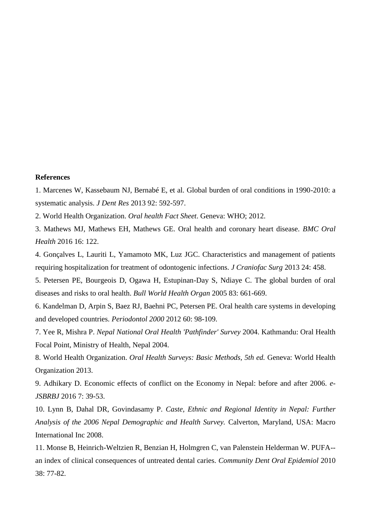#### **References**

1. Marcenes W, Kassebaum NJ, Bernabé E, et al. Global burden of oral conditions in 1990-2010: a systematic analysis. *J Dent Res* 2013 92: 592-597.

2. World Health Organization. *Oral health Fact Sheet*. Geneva: WHO; 2012.

3. Mathews MJ, Mathews EH, Mathews GE. Oral health and coronary heart disease. *BMC Oral Health* 2016 16: 122.

4. Gonçalves L, Lauriti L, Yamamoto MK, Luz JGC. Characteristics and management of patients requiring hospitalization for treatment of odontogenic infections. *J Craniofac Surg* 2013 24: 458.

5. Petersen PE, Bourgeois D, Ogawa H, Estupinan-Day S, Ndiaye C. The global burden of oral diseases and risks to oral health. *Bull World Health Organ* 2005 83: 661-669.

6. Kandelman D, Arpin S, Baez RJ, Baehni PC, Petersen PE. Oral health care systems in developing and developed countries. *Periodontol 2000* 2012 60: 98-109.

7. Yee R, Mishra P. *Nepal National Oral Health 'Pathfinder' Survey* 2004. Kathmandu: Oral Health Focal Point, Ministry of Health, Nepal 2004.

8. World Health Organization. *Oral Health Surveys: Basic Methods, 5th ed.* Geneva: World Health Organization 2013.

9. Adhikary D. Economic effects of conflict on the Economy in Nepal: before and after 2006. *e-JSBRBJ* 2016 7: 39-53.

10. Lynn B, Dahal DR, Govindasamy P. *Caste, Ethnic and Regional Identity in Nepal: Further Analysis of the 2006 Nepal Demographic and Health Survey.* Calverton, Maryland, USA: Macro International Inc 2008.

11. Monse B, Heinrich-Weltzien R, Benzian H, Holmgren C, van Palenstein Helderman W. PUFA- an index of clinical consequences of untreated dental caries. *Community Dent Oral Epidemiol* 2010 38: 77-82.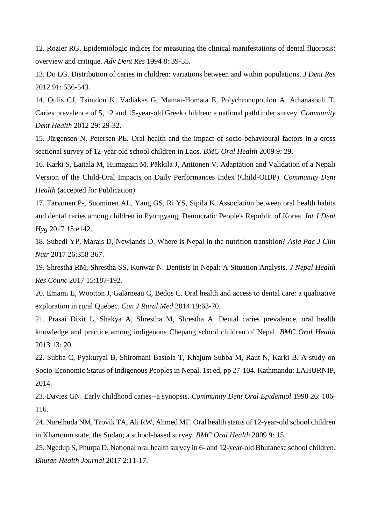12. Rozier RG. Epidemiologic indices for measuring the clinical manifestations of dental fluorosis: overview and critique. *Adv Dent Res* 1994 8: 39-55.

13. Do LG. Distribution of caries in children: variations between and within populations. *J Dent Res*  2012 91: 536-543.

14. Oulis CJ, Tsinidou K, Vadiakas G, Mamai-Homata E, Polychronopoulou A, Athanasouli T. Caries prevalence of 5, 12 and 15-year-old Greek children: a national pathfinder survey. C*ommunity Dent Health* 2012 29: 29-32.

15. Jürgensen N, Petersen PE. Oral health and the impact of socio-behavioural factors in a cross sectional survey of 12-year old school children in Laos. *BMC Oral Health* 2009 9: 29.

16. Karki S, Laitala M, Humagain M, Päkkila J, Anttonen V. Adaptation and Validation of a Nepali Version of the Child-Oral Impacts on Daily Performances Index (Child-OIDP). *Community Dent Health* (accepted for Publication)

17. Tarvonen P-, Suominen AL, Yang GS, Ri YS, Sipilä K. Association between oral health habits and dental caries among children in Pyongyang, Democratic People's Republic of Korea. *Int J Dent Hyg* 2017 15:e142.

18. Subedi YP, Marais D, Newlands D. Where is Nepal in the nutrition transition? *Asia Pac J Clin Nutr* 2017 26:358-367.

19. Shrestha RM, Shrestha SS, Kunwar N. Dentists in Nepal: A Situation Analysis. *J Nepal Health Res Counc* 2017 15:187-192.

20. Emami E, Wootton J, Galarneau C, Bedos C. Oral health and access to dental care: a qualitative exploration in rural Quebec. *Can J Rural Med* 2014 19:63-70.

21. Prasai Dixit L, Shakya A, Shrestha M, Shrestha A. Dental caries prevalence, oral health knowledge and practice among indigenous Chepang school children of Nepal. *BMC Oral Health* 2013 13: 20.

22. Subba C, Pyakuryal B, Shiromani Bastola T, Khajum Subba M, Raut N, Karki B. A study on Socio-Economic Status of Indigenous Peoples in Nepal. 1st ed, pp 27-104. Kathmandu: LAHURNIP, 2014.

23. Davies GN. Early childhood caries--a synopsis. *Community Dent Oral Epidemiol* 1998 26: 106- 116.

24. Nurelhuda NM, Trovik TA, Ali RW, Ahmed MF. Oral health status of 12-year-old school children in Khartoum state, the Sudan; a school-based survey. *BMC Oral Health* 2009 9: 15.

25. Ngedup S, Phurpa D. National oral health survey in 6- and 12-year-old Bhutanese school children. *Bhutan Health Journal* 2017 2:11-17.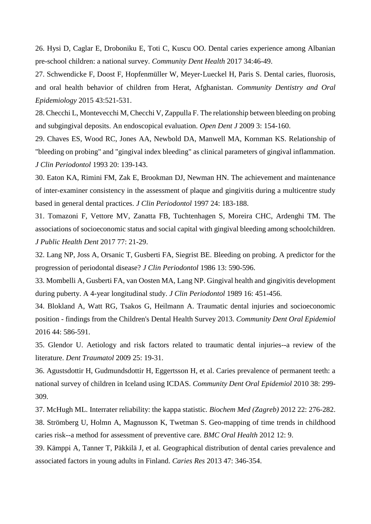26. Hysi D, Caglar E, Droboniku E, Toti C, Kuscu OO. Dental caries experience among Albanian pre-school children: a national survey. *Community Dent Health* 2017 34:46-49.

27. Schwendicke F, Doost F, Hopfenmüller W, Meyer‐Lueckel H, Paris S. Dental caries, fluorosis, and oral health behavior of children from Herat, Afghanistan. *Community Dentistry and Oral Epidemiology* 2015 43:521-531.

28. Checchi L, Montevecchi M, Checchi V, Zappulla F. The relationship between bleeding on probing and subgingival deposits. An endoscopical evaluation. *Open Dent J* 2009 3: 154-160.

29. Chaves ES, Wood RC, Jones AA, Newbold DA, Manwell MA, Kornman KS. Relationship of "bleeding on probing" and "gingival index bleeding" as clinical parameters of gingival inflammation. *J Clin Periodontol* 1993 20: 139-143.

30. Eaton KA, Rimini FM, Zak E, Brookman DJ, Newman HN. The achievement and maintenance of inter-examiner consistency in the assessment of plaque and gingivitis during a multicentre study based in general dental practices. *J Clin Periodontol* 1997 24: 183-188.

31. Tomazoni F, Vettore MV, Zanatta FB, Tuchtenhagen S, Moreira CHC, Ardenghi TM. The associations of socioeconomic status and social capital with gingival bleeding among schoolchildren. *J Public Health Dent* 2017 77: 21-29.

32. Lang NP, Joss A, Orsanic T, Gusberti FA, Siegrist BE. Bleeding on probing. A predictor for the progression of periodontal disease? *J Clin Periodontol* 1986 13: 590-596.

33. Mombelli A, Gusberti FA, van Oosten MA, Lang NP. Gingival health and gingivitis development during puberty. A 4-year longitudinal study. *J Clin Periodontol* 1989 16: 451-456.

34. Blokland A, Watt RG, Tsakos G, Heilmann A. Traumatic dental injuries and socioeconomic position - findings from the Children's Dental Health Survey 2013. *Community Dent Oral Epidemiol* 2016 44: 586-591.

35. Glendor U. Aetiology and risk factors related to traumatic dental injuries--a review of the literature. *Dent Traumatol* 2009 25: 19-31.

36. Agustsdottir H, Gudmundsdottir H, Eggertsson H, et al. Caries prevalence of permanent teeth: a national survey of children in Iceland using ICDAS. *Community Dent Oral Epidemiol* 2010 38: 299- 309.

37. McHugh ML. Interrater reliability: the kappa statistic. *Biochem Med (Zagreb)* 2012 22: 276-282. 38. Strömberg U, Holmn A, Magnusson K, Twetman S. Geo-mapping of time trends in childhood caries risk--a method for assessment of preventive care. *BMC Oral Health* 2012 12: 9.

39. Kämppi A, Tanner T, Päkkilä J, et al. Geographical distribution of dental caries prevalence and associated factors in young adults in Finland. *Caries Res* 2013 47: 346-354.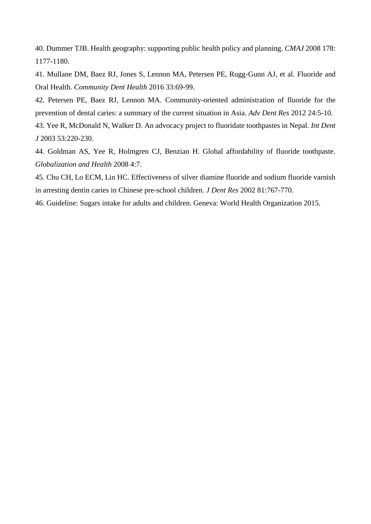40. Dummer TJB. Health geography: supporting public health policy and planning. *CMAJ* 2008 178: 1177-1180.

41. Mullane DM, Baez RJ, Jones S, Lennon MA, Petersen PE, Rugg-Gunn AJ, et al. Fluoride and Oral Health. *Community Dent Health* 2016 33:69-99.

42. Petersen PE, Baez RJ, Lennon MA. Community-oriented administration of fluoride for the prevention of dental caries: a summary of the current situation in Asia. *Adv Dent Res* 2012 24:5-10.

43. Yee R, McDonald N, Walker D. An advocacy project to fluoridate toothpastes in Nepal. *Int Dent J* 2003 53:220-230.

44. Goldman AS, Yee R, Holmgren CJ, Benzian H. Global affordability of fluoride toothpaste. *Globalization and Health* 2008 4:7.

45. Chu CH, Lo ECM, Lin HC. Effectiveness of silver diamine fluoride and sodium fluoride varnish in arresting dentin caries in Chinese pre-school children. *J Dent Res* 2002 81:767-770.

46. Guideline: Sugars intake for adults and children. Geneva: World Health Organization 2015.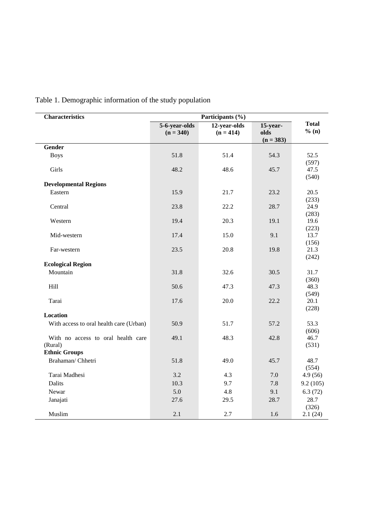| <b>Characteristics</b>                        | Participants (%)             |                             |                                 |                        |  |  |  |  |  |  |
|-----------------------------------------------|------------------------------|-----------------------------|---------------------------------|------------------------|--|--|--|--|--|--|
|                                               | 5-6-year-olds<br>$(n = 340)$ | 12-year-olds<br>$(n = 414)$ | 15-year-<br>olds<br>$(n = 383)$ | <b>Total</b><br>% (n)  |  |  |  |  |  |  |
| <b>Gender</b>                                 |                              |                             |                                 |                        |  |  |  |  |  |  |
| <b>Boys</b>                                   | 51.8                         | 51.4                        | 54.3                            | 52.5                   |  |  |  |  |  |  |
| Girls                                         | 48.2                         | 48.6                        | 45.7                            | (597)<br>47.5<br>(540) |  |  |  |  |  |  |
| <b>Developmental Regions</b>                  |                              |                             |                                 |                        |  |  |  |  |  |  |
| Eastern                                       | 15.9                         | 21.7                        | 23.2                            | 20.5<br>(233)          |  |  |  |  |  |  |
| Central                                       | 23.8                         | 22.2                        | 28.7                            | 24.9<br>(283)          |  |  |  |  |  |  |
| Western                                       | 19.4                         | 20.3                        | 19.1                            | 19.6<br>(223)          |  |  |  |  |  |  |
| Mid-western                                   | 17.4                         | 15.0                        | 9.1                             | 13.7<br>(156)          |  |  |  |  |  |  |
| Far-western                                   | 23.5                         | 20.8                        | 19.8                            | 21.3<br>(242)          |  |  |  |  |  |  |
| <b>Ecological Region</b>                      |                              |                             |                                 |                        |  |  |  |  |  |  |
| Mountain                                      | 31.8                         | 32.6                        | 30.5                            | 31.7<br>(360)          |  |  |  |  |  |  |
| Hill                                          | 50.6                         | 47.3                        | 47.3                            | 48.3<br>(549)          |  |  |  |  |  |  |
| Tarai                                         | 17.6                         | 20.0                        | 22.2                            | 20.1<br>(228)          |  |  |  |  |  |  |
| Location                                      |                              |                             |                                 |                        |  |  |  |  |  |  |
| With access to oral health care (Urban)       | 50.9                         | 51.7                        | 57.2                            | 53.3<br>(606)          |  |  |  |  |  |  |
| With no access to oral health care<br>(Rural) | 49.1                         | 48.3                        | 42.8                            | 46.7<br>(531)          |  |  |  |  |  |  |
| <b>Ethnic Groups</b>                          |                              |                             |                                 |                        |  |  |  |  |  |  |
| Brahaman/ Chhetri                             | 51.8                         | 49.0                        | 45.7                            | 48.7<br>(554)          |  |  |  |  |  |  |
| Tarai Madhesi                                 | 3.2                          | 4.3                         | 7.0                             | 4.9(56)                |  |  |  |  |  |  |
| Dalits                                        | 10.3                         | 9.7                         | 7.8                             | 9.2(105)               |  |  |  |  |  |  |
| Newar                                         | 5.0                          | 4.8                         | 9.1                             | 6.3(72)                |  |  |  |  |  |  |
| Janajati                                      | 27.6                         | 29.5                        | 28.7                            | 28.7<br>(326)          |  |  |  |  |  |  |
| Muslim                                        | 2.1                          | 2.7                         | 1.6                             | 2.1(24)                |  |  |  |  |  |  |

# Table 1. Demographic information of the study population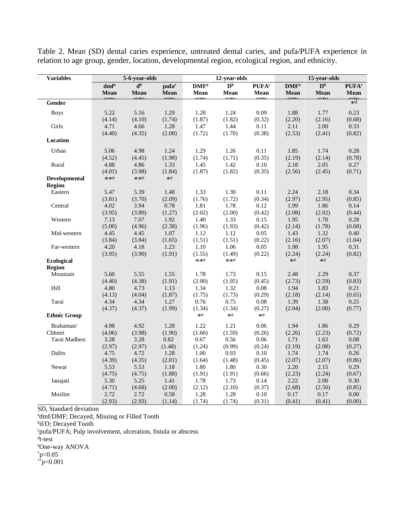| <b>Variables</b>               |                             | 5-6-year-olds                        |                |                           | 12-year-olds              |                          | 15-year-olds   |                           |                          |  |
|--------------------------------|-----------------------------|--------------------------------------|----------------|---------------------------|---------------------------|--------------------------|----------------|---------------------------|--------------------------|--|
|                                | $\mathrm{dmf}^{\mathrm{a}}$ | $\overline{\mathbf{d}^{\mathbf{b}}}$ | pufac          | $\mathbf{DMF}^\mathrm{a}$ | $\mathbf{D}^{\mathrm{b}}$ | <b>PUFA</b> <sup>c</sup> | $\bf{DM} F^a$  | $\mathbf{D}^{\mathrm{b}}$ | <b>PUFA</b> <sup>c</sup> |  |
|                                | Mean                        | Mean                                 | Mean<br>$\sim$ | Mean                      | Mean                      | Mean                     | Mean<br>$\sim$ | Mean                      | Mean                     |  |
| Gender                         |                             |                                      |                |                           |                           |                          |                |                           | $\sum_{*d}$              |  |
| <b>Boys</b>                    | 5.22                        | 5.16                                 | 1.29           | 1.28                      | 1.24                      | 0.09                     | 1.88           | 1.77                      | 0.23                     |  |
|                                | (4.14)                      | (4.10)                               | (1.74)         | (1.87)                    | (1.82)                    | (0.32)                   | (2.20)         | (2.16)                    | (0.68)                   |  |
| Girls                          | 4.71                        | 4.66                                 | 1.28           | 1.47                      | 1.44                      | 0.11                     | 2.11           | 2.00                      | 0.33                     |  |
|                                | (4.40)                      | (4.35)                               | (2.08)         | (1.72)                    | (1.70)                    | (0.38)                   | (2.53)         | (2.41)                    | (0.82)                   |  |
| Location                       |                             |                                      |                |                           |                           |                          |                |                           |                          |  |
| Urban                          | 5.06                        | 4.98                                 | 1.24           | 1.29                      | 1.26                      | 0.11                     | 1.85           | 1.74                      | 0.28                     |  |
|                                | (4.52)                      | (4.45)                               | (1.98)         | (1.74)                    | (1.71)                    | (0.35)                   | (2.19)         | (2.14)                    | (0.78)                   |  |
| Rural                          | 4.88                        | 4.86                                 | 1.33           | 1.45                      | 1.42                      | 0.10                     | 2.18           | 2.05                      | 0.27                     |  |
|                                | (4.01)                      | (3.98)                               | (1.84)         | (1.87)                    | (1.82)                    | (0.35)                   | (2.56)         | (2.45)                    | (0.71)                   |  |
| Developmental<br><b>Region</b> | $**e$                       | $**e$                                | $\ast{\rm e}$  |                           |                           |                          |                |                           |                          |  |
| Eastern                        | 5.47                        | 5.39                                 | 1.48           | 1.33                      | 1.30                      | 0.11                     | 2.24           | 2.18                      | 0.34                     |  |
|                                | (3.81)                      | (3.70)                               | (2.09)         | (1.76)                    | (1.72)                    | (0.34)                   | (2.97)         | (2.95)                    | (0.85)                   |  |
| Central                        | 4.02                        | 3.94                                 | 0.78           | 1.81                      | 1.78                      | 0.12                     | 1.99           | 1.86                      | 0.14                     |  |
|                                | (3.95)                      | (3.89)                               | (1.27)         | (2.02)                    | (2.00)                    | (0.42)                   | (2.08)         | (2.02)                    | (0.44)                   |  |
| Western                        | 7.13                        | 7.07                                 | 1.92           | 1.40                      | 1.33                      | 0.15                     | 1.95           | 1.70                      | 0.28                     |  |
|                                | (5.00)                      | (4.96)                               | (2.38)         | (1.96)                    | (1.93)                    | (0.42)                   | (2.14)         | (1.78)                    | (0.68)                   |  |
| Mid-western                    | 4.45                        | 4.45                                 | 1.07           | 1.12                      | 1.12                      | 0.05                     | 1.43           | 1.32                      | 0.40                     |  |
|                                | (3.84)                      | (3.84)                               | (1.65)         | (1.51)                    | (1.51)                    | (0.22)                   | (2.16)         | (2.07)                    | (1.04)                   |  |
| Far-western                    | 4.20                        | 4.18                                 | 1.23           | 1.10                      | 1.06                      | 0.05                     | 1.98           | 1.95                      | 0.31                     |  |
|                                | (3.95)                      | (3.90)                               | (1.91)         | (1.55)                    | (1.49)                    | (0.22)                   | (2.24)         | (2.24)                    | (0.82)                   |  |
| Ecological<br>Region           |                             |                                      |                | $**e$                     | $**e$                     |                          | $*e$           | $*e$                      |                          |  |
| Mountain                       | 5.60                        | 5.55                                 | 1.55           | 1.78                      | 1.73                      | 0.15                     | 2.48           | 2.29                      | 0.37                     |  |
|                                | (4.40)                      | (4.38)                               | (1.91)         | (2.00)                    | (1.95)                    | (0.45)                   | (2.73)         | (2.59)                    | (0.83)                   |  |
| Hill                           | 4.80                        | 4.73                                 | 1.13           | 1.34                      | 1.32                      | 0.08                     | 1.94           | 1.83                      | 0.21                     |  |
|                                | (4.13)                      | (4.04)                               | (1.87)         | (1.75)                    | (1.73)                    | (0.29)                   | (2.18)         | (2.14)                    | (0.65)                   |  |
| Tarai                          | 4.34                        | 4.34                                 | 1.27           | 0.76                      | 0.75                      | 0.08                     | 1.39           | 1.38                      | 0.25                     |  |
|                                | (4.37)                      | (4.37)                               | (1.99)         | (1.34)                    | (1.34)                    | (0.27)                   | (2.04)         | (2.00)                    | (0.77)                   |  |
| <b>Ethnic Group</b>            |                             |                                      |                | $*e$                      | $*e$                      | $*e$                     |                |                           |                          |  |
| Brahaman/                      | 4.98                        | 4.92                                 | 1.28           | 1.22                      | 1.21                      | 0.06                     | 1.94           | 1.86                      | 0.29                     |  |
| Chhetri                        | (4.06)                      | (3.98)                               | (1.90)         | (1.60)                    | (1.59)                    | (0.26)                   | (2.26)         | (2.23)                    | (0.72)                   |  |
| Tarai Madhesi                  | 3.28                        | 3.28                                 | 0.82           | 0.67                      | 0.56                      | 0.06                     | 1.71           | 1.63                      | 0.08                     |  |
|                                | (2.97)                      | (2.97)                               | (1.48)         | (1.24)                    | (0.99)                    | (0.24)                   | (2.19)         | (2.08)                    | (0.27)                   |  |
| Dalits                         | 4.75                        | 4.72                                 | 1.28           | 1.00                      | 0.93                      | $0.10\,$                 | 1.74           | 1.74                      | 0.26                     |  |
|                                | (4.39)                      | (4.35)                               | (2.01)         | (1.64)                    | (1.48)                    | (0.45)                   | (2.07)         | (2.07)                    | (0.86)                   |  |
| Newar                          | 5.53                        | 5.53                                 | 1.18           | 1.80                      | 1.80                      | 0.30                     | 2.20           | 2.15                      | 0.29                     |  |
|                                | (4.75)                      | (4.75)                               | (1.88)         | (1.91)                    | (1.91)                    | (0.66)                   | (2.23)         | (2.24)                    | (0.67)                   |  |
| Janajati                       | 5.30                        | 5.25                                 | 1.41           | 1.78                      | 1.73                      | 0.14                     | 2.22           | 2.00                      | 0.30                     |  |
|                                | (4.71)                      | (4.68)                               | (2.00)         | (2.12)                    | (2.10)                    | (0.37)                   | (2.68)         | (2.50)                    | (0.85)                   |  |
| Muslim                         | 2.72                        | 2.72                                 | 0.58           | 1.28                      | 1.28                      | 0.10                     | 0.17           | 0.17                      | 0.00                     |  |
|                                | (2.93)                      | (2.93)                               | (1.14)         | (1.74)                    | (1.74)                    | (0.31)                   | (0.41)         | (0.41)                    | (0.00)                   |  |

Table 2. Mean (SD) dental caries experience, untreated dental caries, and pufa/PUFA experience in relation to age group, gender, location, developmental region, ecological region, and ethnicity.

SD, Standard deviation

admf/DMF; Decayed, Missing or Filled Tooth

b<sub>d</sub>/D; Decayed Tooth

<sup>c</sup>pufa/PUFA; Pulp involvement, ulceration, fistula or abscess

d t-test

<sup>e</sup>One-way ANOVA

 $*_{p<0.05}$ 

 $*$  $p < 0.001$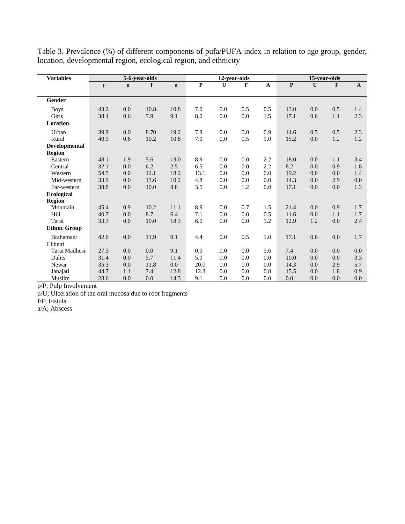| <b>Variables</b>     |      |             | 5-6-year-olds<br>12-year-olds<br>15-year-olds |              |              |         |         |                           |                         |              |              |              |
|----------------------|------|-------------|-----------------------------------------------|--------------|--------------|---------|---------|---------------------------|-------------------------|--------------|--------------|--------------|
|                      | p    | $\mathbf u$ | f                                             | $\mathbf{a}$ | $\mathbf{P}$ | U       | F       | $\boldsymbol{\mathsf{A}}$ | $\overline{\mathbf{P}}$ | $\mathbf{U}$ | $\mathbf{F}$ | $\mathbf{A}$ |
|                      |      |             |                                               |              |              |         |         |                           |                         |              |              |              |
| Gender               |      |             |                                               |              |              |         |         |                           |                         |              |              |              |
| <b>Boys</b>          | 43.2 | 0.0         | 10.8                                          | 10.8         | 7.0          | 0.0     | 0.5     | 0.5                       | 13.0                    | 0.0          | 0.5          | 1.4          |
| Girls                | 38.4 | 0.6         | 7.9                                           | 9.1          | 8.0          | $0.0\,$ | $0.0\,$ | 1.5                       | 17.1                    | 0.6          | 1.1          | 2.3          |
| <b>Location</b>      |      |             |                                               |              |              |         |         |                           |                         |              |              |              |
| Urban                | 39.9 | 0.0         | 8.70                                          | 19.2         | 7.9          | 0.0     | 0.0     | 0.9                       | 14.6                    | 0.5          | 0.5          | 2.3          |
| Rural                | 40.9 | 0.6         | 10.2                                          | 10.8         | 7.0          | $0.0\,$ | 0.5     | 1.0                       | 15.2                    | 0.0          | 1.2          | 1.2          |
| <b>Developmental</b> |      |             |                                               |              |              |         |         |                           |                         |              |              |              |
| <b>Region</b>        |      |             |                                               |              |              |         |         |                           |                         |              |              |              |
| Eastern              | 48.1 | 1.9         | 5.6                                           | 13.0         | 8.9          | 0.0     | 0.0     | 2.2                       | 18.0                    | 0.0          | 1.1          | 3.4          |
| Central              | 32.1 | 0.0         | 6.2                                           | 2.5          | 6.5          | 0.0     | 0.0     | 2.2                       | 8.2                     | 0.0          | 0.9          | 1.8          |
| Western              | 54.5 | 0.0         | 12.1                                          | 18.2         | 13.1         | 0.0     | 0.0     | 0.0                       | 19.2                    | 0.0          | 0.0          | 1.4          |
| Mid-western          | 33.9 | 0.0         | 13.6                                          | 10.2         | 4.8          | 0.0     | 0.0     | 0.0                       | 14.3                    | 0.0          | 2.9          | 0.0          |
| Far-western          | 38.8 | $0.0\,$     | 10.0                                          | 8.8          | 3.5          | 0.0     | 1.2     | 0.0                       | 17.1                    | 0.0          | $0.0\,$      | 1.3          |
| Ecological           |      |             |                                               |              |              |         |         |                           |                         |              |              |              |
| <b>Region</b>        |      |             |                                               |              |              |         |         |                           |                         |              |              |              |
| Mountain             | 45.4 | 0.9         | 10.2                                          | 11.1         | 8.9          | 0.0     | 0.7     | 1.5                       | 21.4                    | 0.0          | 0.9          | 1.7          |
| Hill                 | 40.7 | 0.0         | 8.7                                           | 6.4          | 7.1          | 0.0     | 0.0     | 0.5                       | 11.6                    | 0.0          | 1.1          | 1.7          |
| Tarai                | 33.3 | 0.0         | 10.0                                          | 18.3         | 6.0          | 0.0     | 0.0     | 1.2                       | 12.9                    | 1.2          | 0.0          | 2.4          |
| <b>Ethnic Group</b>  |      |             |                                               |              |              |         |         |                           |                         |              |              |              |
| Brahaman/            | 42.6 | 0.0         | 11.9                                          | 9.1          | 4.4          | 0.0     | 0.5     | 1.0                       | 17.1                    | 0.6          | 0.0          | 1.7          |
| Chhetri              |      |             |                                               |              |              |         |         |                           |                         |              |              |              |
| Tarai Madhesi        | 27.3 | 0.0         | 0.0                                           | 9.1          | 0.0          | 0.0     | 0.0     | 5.6                       | 7.4                     | 0.0          | 0.0          | 0.0          |
| Dalits               | 31.4 | 0.0         | 5.7                                           | 11.4         | 5.0          | 0.0     | 0.0     | 0.0                       | 10.0                    | 0.0          | 0.0          | 3.3          |
| Newar                | 35.3 | 0.0         | 11.8                                          | 0.0          | 20.0         | 0.0     | 0.0     | 0.0                       | 14.3                    | 0.0          | 2.9          | 5.7          |
| Janajati             | 44.7 | 1.1         | 7.4                                           | 12.8         | 12.3         | 0.0     | 0.0     | 0.8                       | 15.5                    | 0.0          | 1.8          | 0.9          |
| Muslim               | 28.6 | 0.0         | 0.0                                           | 14.3         | 9.1          | 0.0     | 0.0     | 0.0                       | 0.0                     | 0.0          | 0.0          | 0.0          |

Table 3. Prevalence (%) of different components of pufa/PUFA index in relation to age group, gender, location, developmental region, ecological region, and ethnicity

p/P; Pulp Involvement

u/U; Ulceration of the oral mucosa due to root fragments

f/F; Fistula

a/A; Abscess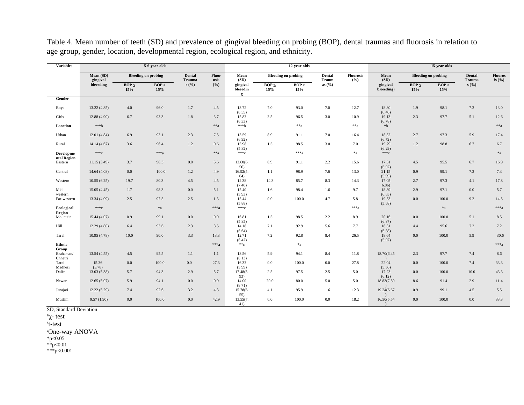| <b>Variables</b>                | 5-6-year-olds<br>12-year-olds |                   |                            |                  |                      |                           |                   | 15-year-olds               |                 |                         |                        |                   |                            |                  |                            |
|---------------------------------|-------------------------------|-------------------|----------------------------|------------------|----------------------|---------------------------|-------------------|----------------------------|-----------------|-------------------------|------------------------|-------------------|----------------------------|------------------|----------------------------|
|                                 | Mean (SD)<br>gingival         |                   | <b>Bleeding on probing</b> | Dental<br>Trauma | <b>Fluor</b><br>osis | Mean<br>(SD)              |                   | <b>Bleeding on probing</b> | Dental<br>Traum | <b>Fluorosis</b><br>(%) | Mean<br>(SD)           |                   | <b>Bleeding on probing</b> | Dental<br>Trauma | <b>Fluoros</b><br>is $(\%$ |
|                                 | bleeeding                     | $BOP \leq$<br>15% | BOP<br>15%                 | s(%)             | (%)                  | gingival<br>bleeedin<br>g | $BOP \leq$<br>15% | BOP<br>15%                 | as $(\%$        |                         | gingival<br>bleeeding) | $BOP \leq$<br>15% | BOP<br>15%                 | s(%)             |                            |
| Gender                          |                               |                   |                            |                  |                      |                           |                   |                            |                 |                         |                        |                   |                            |                  |                            |
| <b>Boys</b>                     | 13.22 (4.85)                  | 4.0               | 96.0                       | 1.7              | 4.5                  | 13.72<br>(6.55)           | 7.0               | 93.0                       | 7.0             | 12.7                    | 18.80<br>(6.40)        | 1.9               | 98.1                       | 7.2              | 13.0                       |
| Girls                           | 12.88 (4.90)                  | 6.7               | 93.3                       | 1.8              | 3.7                  | 15.83<br>(6.33)           | 3.5               | 96.5                       | 3.0             | 10.9                    | 19.13<br>(6.78)        | 2.3               | 97.7                       | 5.1              | 12.6                       |
| Location                        | ***b                          |                   |                            |                  | $**a$                | ***h                      |                   | $**a$                      |                 | $**a$                   | $*b$                   |                   |                            |                  | $**a$                      |
| Urban                           | 12.01(4.84)                   | 6.9               | 93.1                       | 2.3              | 7.5                  | 13.59<br>(6.92)           | 8.9               | 91.1                       | 7.0             | 16.4                    | 18.32<br>(6.72)        | 2.7               | 97.3                       | 5.9              | 17.4                       |
| Rural                           | 14.14 (4.67)                  | 3.6               | 96.4                       | 1.2              | 0.6                  | 15.98<br>(5.82)           | 1.5               | 98.5                       | 3.0             | 7.0                     | 19.79<br>(6.29)        | 1.2               | 98.8                       | 6.7              | 6.7                        |
| <b>Developme</b><br>ntal Region | $***c$                        |                   | $***a$                     |                  | $**a$                | $***c$                    |                   | $***a$                     |                 | $*a$                    | $***c$                 |                   |                            |                  | $\mathbf{^{*}a}$           |
| Eastern                         | 11.15(3.49)                   | 3.7               | 96.3                       | 0.0              | 5.6                  | 13.60(6.<br>56)           | 8.9               | 91.1                       | 2.2             | 15.6                    | 17.31<br>(6.92)        | 4.5               | 95.5                       | 6.7              | 16.9                       |
| Central                         | 14.64 (4.08)                  | $0.0\,$           | 100.0                      | 1.2              | 4.9                  | 16.92(5.<br>64)           | 1.1               | 98.9                       | 7.6             | 13.0                    | 21.15<br>(5.99)        | 0.9               | 99.1                       | 7.3              | 7.3                        |
| Western                         | 10.55(6.25)                   | 19.7              | 80.3                       | 4.5              | 4.5                  | 12.38<br>(7.48)           | 14.3              | 85.7                       | 8.3             | 14.3                    | 17.05<br>6.86)         | 2.7               | 97.3                       | 4.1              | 17.8                       |
| Mid-<br>western                 | 15.05(4.45)                   | 1.7               | 98.3                       | 0.0              | 5.1                  | 15.40<br>(5.93)           | 1.6               | 98.4                       | 1.6             | 9.7                     | 18.89<br>(6.65)        | 2.9               | 97.1                       | 0.0              | 5.7                        |
| Far-western                     | 13.34 (4.09)                  | 2.5               | 97.5                       | 2.5              | 1.3                  | 15.44<br>(5.88)           | 0.0               | 100.0                      | 4.7             | 5.8                     | 19.53<br>(5.68)        | 0.0               | 100.0                      | 9.2              | 14.5                       |
| <b>Ecological</b><br>Region     | $***c$                        |                   | $\mathbf{^{*}a}$           |                  | $***a$               | $***c$                    |                   |                            |                 | $***a$                  |                        |                   | $*_a$                      |                  | $***a$                     |
| Mountain                        | 15.44 (4.07)                  | 0.9               | 99.1                       | 0.0              | 0.0                  | 16.81<br>(5.85)           | 1.5               | 98.5                       | 2.2             | 8.9                     | 20.16<br>(6.37)        | 0.0               | 100.0                      | 5.1              | 8.5                        |
| Hill                            | 12.29(4.80)                   | 6.4               | 93.6                       | 2.3              | 3.5                  | 14.18<br>(6.64)           | 7.1               | 92.9                       | 5.6             | 7.7                     | 18.31<br>(6.88)        | 4.4               | 95.6                       | 7.2              | 7.2                        |
| Tarai                           | 10.95(4.78)                   | 10.0              | 90.0                       | 3.3              | 13.3                 | 12.71<br>(6.42)           | 7.2               | 92.8                       | 8.4             | 26.5                    | 18.64<br>(5.97)        | 0.0               | 100.0                      | 5.9              | 30.6                       |
| Ethnic<br>Group                 |                               |                   |                            |                  | $***a$               | $**_{\mathbb{C}}$         |                   | $a^*a$                     |                 |                         |                        |                   |                            |                  | $***a$                     |
| Brahaman/<br>Chhetri            | 13.54 (4.55)                  | 4.5               | 95.5                       | 1.1              | 1.1                  | 13.56<br>(6.13)           | 5.9               | 94.1                       | 8.4             | 11.8                    | 18.70(6.45)            | 2.3               | 97.7                       | 7.4              | 8.6                        |
| Tarai<br>Madhesi                | 15.36<br>(3.78)               | $0.0\,$           | 100.0                      | $0.0\,$          | 27.3                 | 16.33<br>(5.99)           | 0.0               | 100.0                      | 0.0             | 27.8                    | 22.04<br>(5.56)        | 0.0               | 100.0                      | 7.4              | 33.3                       |
| Dalits                          | 13.03 (5.38)                  | 5.7               | 94.3                       | 2.9              | 5.7                  | 17.48(5.                  | 2.5               | 97.5                       | 2.5             | 5.0                     | 17.23                  | 0.0               | 100.0                      | 10.0             | 43.3                       |
| Newar                           | 12.65(5.07)                   | 5.9               | 94.1                       | 0.0              | 0.0                  | 93)<br>14.00<br>(8.71)    | 20.0              | 80.0                       | 5.0             | 5.0                     | (6.12)<br>18.83(7.59)  | 8.6               | 91.4                       | 2.9              | 11.4                       |
| Janajati                        | 12.22(5.29)                   | 7.4               | 92.6                       | 3.2              | 4.3                  | 15.78(6.<br>55)           | 4.1               | 95.9                       | 1.6             | 12.3                    | 19.24(6.67             | 0.9               | 99.1                       | 4.5              | 5.5                        |
| Muslim                          | 9.57(1.90)                    | $0.0\,$           | 100.0                      | 0.0              | 42.9                 | 13.55(7.<br>41)           | 0.0               | 100.0                      | 0.0             | 18.2                    | 16.50(5.54             | 0.0               | 100.0                      | 0.0              | 33.3                       |

Table 4. Mean number of teeth (SD) and prevalence of gingival bleeding on probing (BOP), dental traumas and fluorosis in relation to age group, gender, location, developmental region, ecological region, and ethnicity.

SD, Standard Deviation

 $a_{\chi}$ - test

b t-test

<sup>c</sup>One-way ANOVA

 $*p<0.05$ 

\*\*p<0.01

\*\*\*p<0.001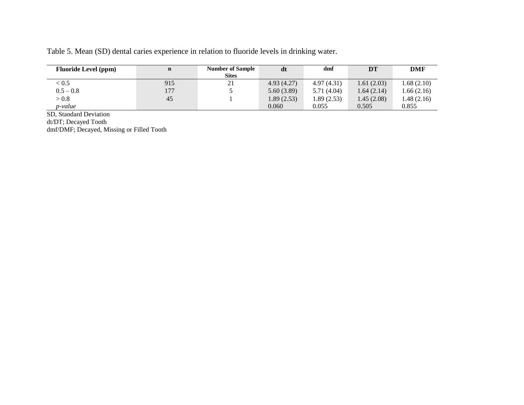|  |  |  |  |  | Table 5. Mean (SD) dental caries experience in relation to fluoride levels in drinking water. |
|--|--|--|--|--|-----------------------------------------------------------------------------------------------|
|  |  |  |  |  |                                                                                               |

| <b>Fluoride Level (ppm)</b> | $\mathbf n$ | <b>Number of Sample</b><br><b>Sites</b> | dt         | dmf         | <b>DT</b>  | <b>DMF</b> |
|-----------------------------|-------------|-----------------------------------------|------------|-------------|------------|------------|
| < 0.5                       | 915         | 21                                      | 4.93(4.27) | 4.97(4.31)  | 1.61(2.03) | 1.68(2.10) |
| $0.5 - 0.8$                 | 177         |                                         | 5.60(3.89) | 5.71 (4.04) | 1.64(2.14) | 1.66(2.16) |
| > 0.8                       | 45          |                                         | 1.89(2.53) | 1.89 (2.53) | 1.45(2.08) | 1.48(2.16) |
| p-value                     |             |                                         | 0.060      | 0.055       | 0.505      | 0.855      |

SD, Standard Deviation

dt/DT; Decayed Tooth

dmf/DMF; Decayed, Missing or Filled Tooth